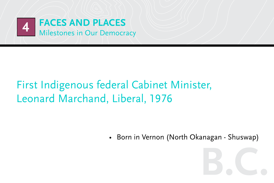

### First Indigenous federal Cabinet Minister, Leonard Marchand, Liberal, 1976

• Born in Vernon (North Okanagan - Shuswap)

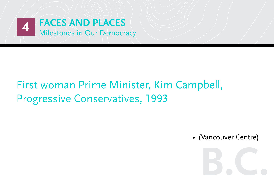

#### First woman Prime Minister, Kim Campbell, Progressive Conservatives, 1993

• (Vancouver Centre)

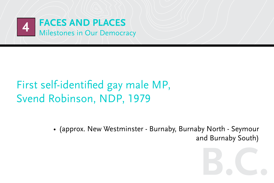

### First self-identified gay male MP, Svend Robinson, NDP, 1979

• (approx. New Westminster - Burnaby, Burnaby North - Seymour and Burnaby South)

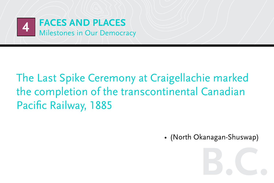

### The Last Spike Ceremony at Craigellachie marked the completion of the transcontinental Canadian Pacific Railway, 1885

• (North Okanagan-Shuswap)

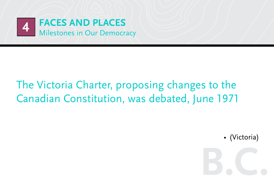

#### The Victoria Charter, proposing changes to the Canadian Constitution, was debated, June 1971

• (Victoria)

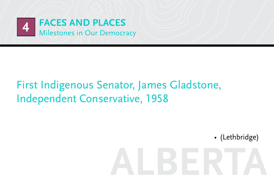

#### First Indigenous Senator, James Gladstone, Independent Conservative, 1958

• (Lethbridge)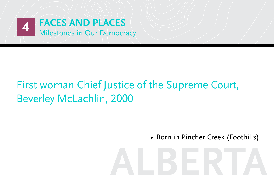

### First woman Chief Justice of the Supreme Court, Beverley McLachlin, 2000

• Born in Pincher Creek (Foothills)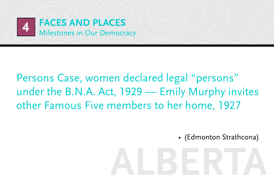

#### Persons Case, women declared legal "persons" under the B.N.A. Act, 1929 — Emily Murphy invites other Famous Five members to her home, 1927

• (Edmonton Strathcona)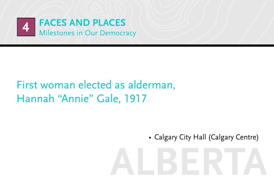

#### First woman elected as alderman, Hannah "Annie" Gale, 1917

• Calgary City Hall (Calgary Centre)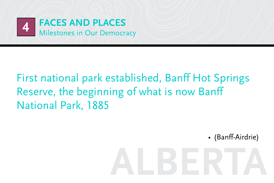

### First national park established, Banff Hot Springs Reserve, the beginning of what is now Banff National Park, 1885

• (Banff-Airdrie)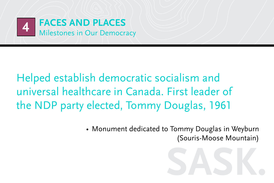

Helped establish democratic socialism and universal healthcare in Canada. First leader of the NDP party elected, Tommy Douglas, 1961

> • Monument dedicated to Tommy Douglas in Weyburn (Souris-Moose Mountain)

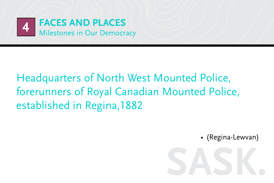

### Headquarters of North West Mounted Police, forerunners of Royal Canadian Mounted Police, established in Regina,1882

• (Regina-Lewvan)

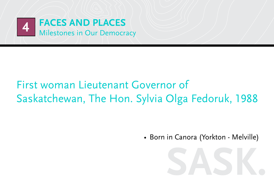

#### First woman Lieutenant Governor of Saskatchewan, The Hon. Sylvia Olga Fedoruk, 1988

• Born in Canora (Yorkton - Melville)

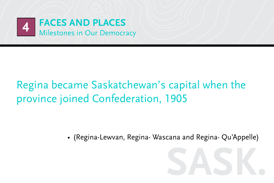

### Regina became Saskatchewan's capital when the province joined Confederation, 1905

• (Regina-Lewvan, Regina- Wascana and Regina- Qu'Appelle)

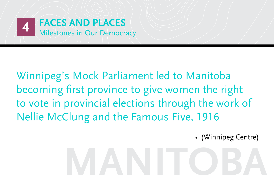

Winnipeg's Mock Parliament led to Manitoba becoming first province to give women the right to vote in provincial elections through the work of Nellie McClung and the Famous Five, 1916

• (Winnipeg Centre)

# **manitoba**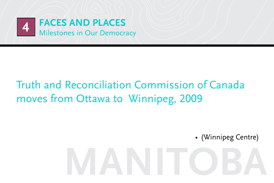

### Truth and Reconciliation Commission of Canada moves from Ottawa to Winnipeg, 2009

• (Winnipeg Centre)

# **manitoba**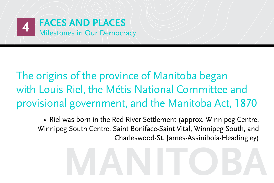

The origins of the province of Manitoba began with Louis Riel, the Métis National Committee and provisional government, and the Manitoba Act, 1870

• Riel was born in the Red River Settlement (approx. Winnipeg Centre, Winnipeg South Centre, Saint Boniface-Saint Vital, Winnipeg South, and Charleswood-St. James-Assiniboia-Headingley)

# **manitoba**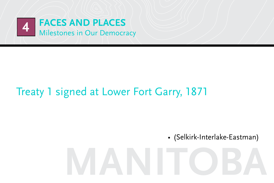

#### Treaty 1 signed at Lower Fort Garry, 1871

• (Selkirk-Interlake-Eastman)

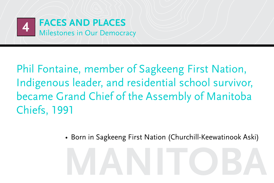

Phil Fontaine, member of Sagkeeng First Nation, Indigenous leader, and residential school survivor, became Grand Chief of the Assembly of Manitoba Chiefs, 1991

• Born in Sagkeeng First Nation (Churchill-Keewatinook Aski)

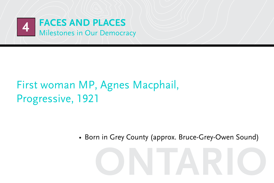

#### First woman MP, Agnes Macphail, Progressive, 1921

• Born in Grey County (approx. Bruce-Grey-Owen Sound)

**ontario**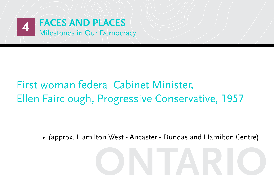

#### First woman federal Cabinet Minister, Ellen Fairclough, Progressive Conservative, 1957

• (approx. Hamilton West - Ancaster - Dundas and Hamilton Centre)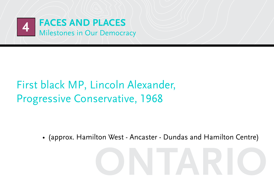

### First black MP, Lincoln Alexander, **Progressive Conservative, 1968**

• (approx. Hamilton West - Ancaster - Dundas and Hamilton Centre)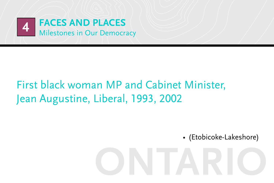

#### First black woman MP and Cabinet Minister, Jean Augustine, Liberal, 1993, 2002

• (Etobicoke-Lakeshore)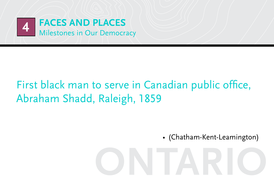

### First black man to serve in Canadian public office, Abraham Shadd, Raleigh, 1859

• (Chatham-Kent-Leamington)

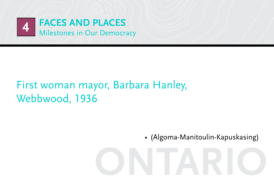

#### First woman mayor, Barbara Hanley, Webbwood, 1936

• (Algoma-Manitoulin-Kapuskasing)

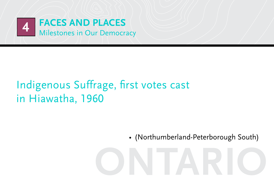

### Indigenous Suffrage, first votes cast in Hiawatha, 1960

• (Northumberland-Peterborough South)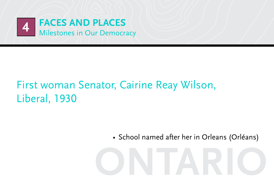

#### First woman Senator, Cairine Reay Wilson, Liberal, 1930

• School named after her in Orleans (Orléans)

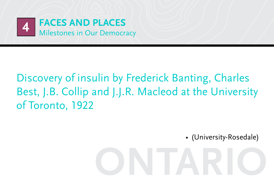

### Discovery of insulin by Frederick Banting, Charles Best, J.B. Collip and J.J.R. Macleod at the University of Toronto, 1922

• (University-Rosedale)

# **ontario**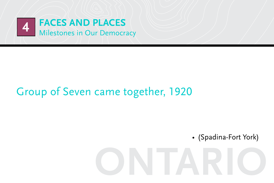

#### Group of Seven came together, 1920

• (Spadina-Fort York)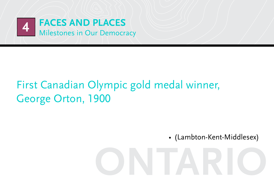

#### First Canadian Olympic gold medal winner, George Orton, 1900

• (Lambton-Kent-Middlesex)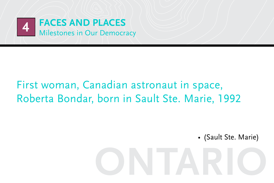

#### First woman, Canadian astronaut in space, Roberta Bondar, born in Sault Ste. Marie, 1992

• (Sault Ste. Marie)

# **ontario**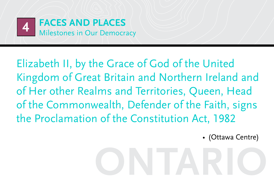

Elizabeth II, by the Grace of God of the United Kingdom of Great Britain and Northern Ireland and of Her other Realms and Territories, Queen, Head of the Commonwealth, Defender of the Faith, signs the Proclamation of the Constitution Act, 1982

• (Ottawa Centre)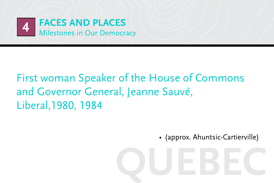

### First woman Speaker of the House of Commons and Governor General, Jeanne Sauvé, Liberal, 1980, 1984

• (approx. Ahuntsic-Cartierville)

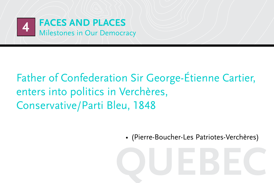

### Father of Confederation Sir George-Étienne Cartier, enters into politics in Verchères, Conservative/Parti Bleu, 1848

• (Pierre-Boucher-Les Patriotes-Verchères)

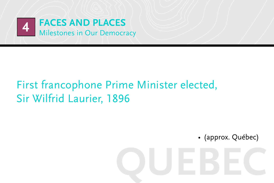

#### First francophone Prime Minister elected, Sir Wilfrid Laurier, 1896

• (approx. Québec)

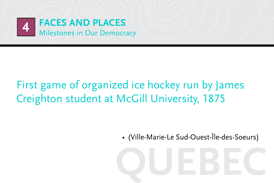

### First game of organized ice hockey run by James Creighton student at McGill University, 1875

• (Ville-Marie-Le Sud-Ouest-Île-des-Soeurs)

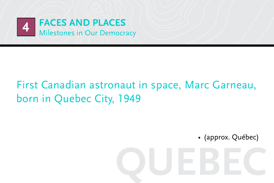

#### First Canadian astronaut in space, Marc Garneau, born in Quebec City, 1949

• (approx. Québec)

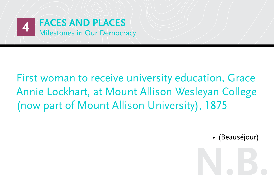

First woman to receive university education, Grace Annie Lockhart, at Mount Allison Wesleyan College (now part of Mount Allison University), 1875

• (Beauséjour)

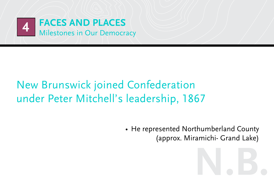

### New Brunswick joined Confederation under Peter Mitchell's leadership, 1867

• He represented Northumberland County (approx. Miramichi- Grand Lake)

**n.b.**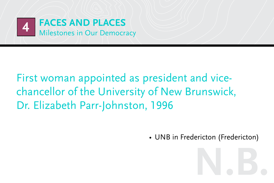

First woman appointed as president and vicechancellor of the University of New Brunswick, Dr. Elizabeth Parr-Johnston, 1996

• UNB in Fredericton (Fredericton)

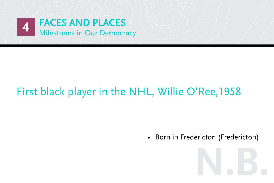

### First black player in the NHL, Willie O'Ree,1958

• Born in Fredericton (Fredericton)

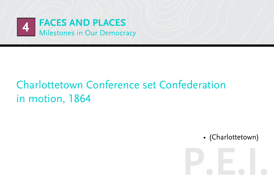

### Charlottetown Conference set Confederation in motion, 1864

• (Charlottetown)

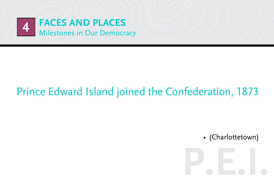

#### Prince Edward Island joined the Confederation, 1873

• (Charlottetown)

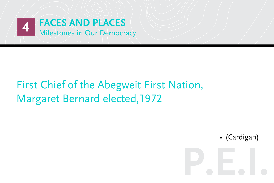

#### First Chief of the Abegweit First Nation, Margaret Bernard elected,1972

• (Cardigan)

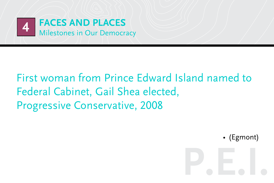

#### First woman from Prince Edward Island named to Federal Cabinet, Gail Shea elected, Progressive Conservative, 2008

• (Egmont)

**p.e.i.**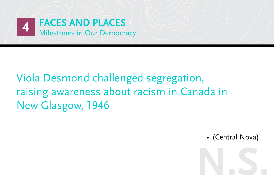

### Viola Desmond challenged segregation, raising awareness about racism in Canada in New Glasgow, 1946

• (Central Nova)

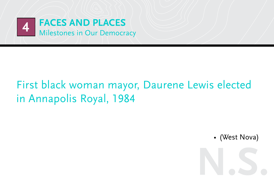

### First black woman mayor, Daurene Lewis elected in Annapolis Royal, 1984

• (West Nova)

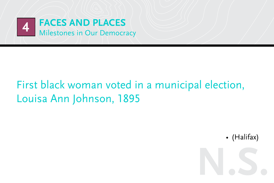

### First black woman voted in a municipal election, Louisa Ann Johnson, 1895

• (Halifax)

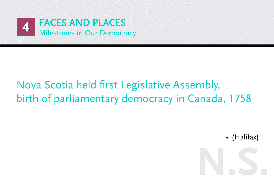

### Nova Scotia held first Legislative Assembly, birth of parliamentary democracy in Canada, 1758

• (Halifax)

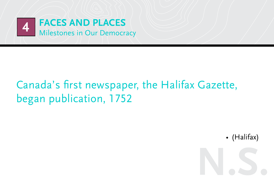

### Canada's first newspaper, the Halifax Gazette, began publication, 1752

• (Halifax)

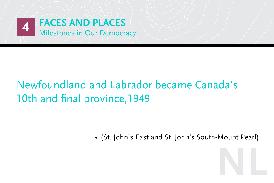

### Newfoundland and Labrador became Canada's 10th and final province, 1949

• (St. John's East and St. John's South-Mount Pearl)

**nl**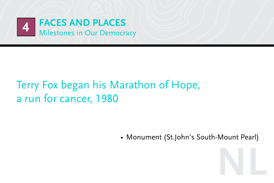

### Terry Fox began his Marathon of Hope, a run for cancer, 1980

• Monument (St.John's South-Mount Pearl)

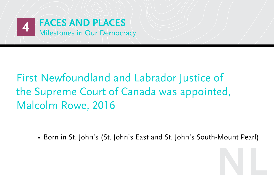

### First Newfoundland and Labrador Justice of the Supreme Court of Canada was appointed, Malcolm Rowe, 2016

• Born in St. John's (St. John's East and St. John's South-Mount Pearl)

**nl**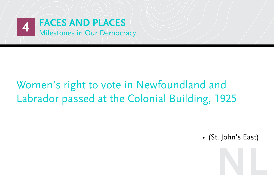

### Women's right to vote in Newfoundland and Labrador passed at the Colonial Building, 1925

• (St. John's East)

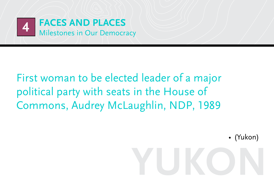

First woman to be elected leader of a major political party with seats in the House of Commons, Audrey McLaughlin, NDP, 1989

• (Yukon)

# **yukon**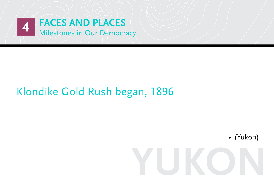

### Klondike Gold Rush began, 1896

• (Yukon)

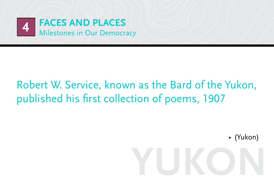

### Robert W. Service, known as the Bard of the Yukon, published his first collection of poems, 1907

• (Yukon)

# **yukon**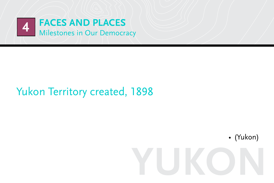

#### **Yukon Territory created, 1898**

• (Yukon)

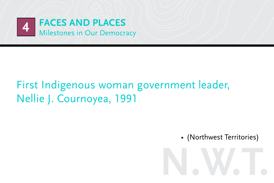

### First Indigenous woman government leader, Nellie J. Cournoyea, 1991

• (Northwest Territories)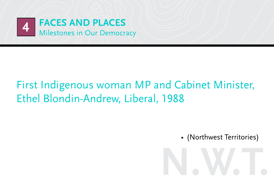

#### First Indigenous woman MP and Cabinet Minister, Ethel Blondin-Andrew, Liberal, 1988

• (Northwest Territories)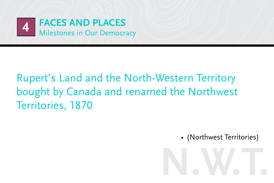

### Rupert's Land and the North-Western Territory bought by Canada and renamed the Northwest Territories, 1870

• (Northwest Territories)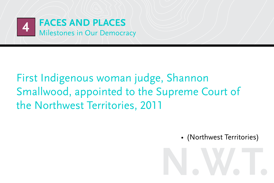

#### First Indigenous woman judge, Shannon Smallwood, appointed to the Supreme Court of the Northwest Territories, 2011

• (Northwest Territories)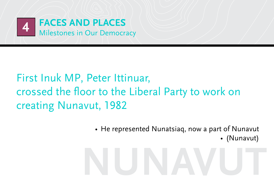

### First Inuk MP, Peter Ittinuar, crossed the floor to the Liberal Party to work on creating Nunavut, 1982

• He represented Nunatsiaq, now a part of Nunavut • (Nunavut)

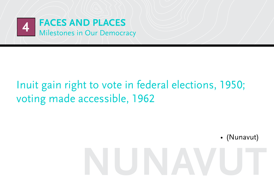

### Inuit gain right to vote in federal elections, 1950; voting made accessible, 1962

• (Nunavut)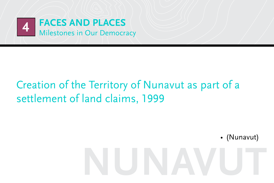

### Creation of the Territory of Nunavut as part of a settlement of land claims, 1999

• (Nunavut)